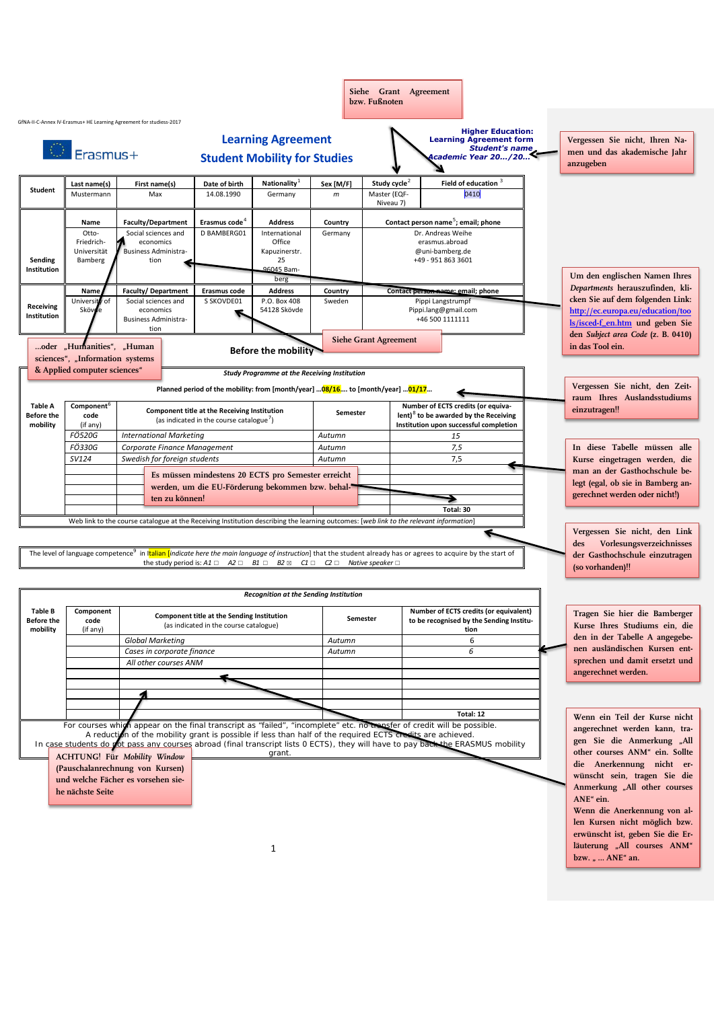|                                          |                                                                                                                                                                                                                                                                                                                                                                                                                  |                                                                                                                                                                                     |                                                                                                                               |                                                                                                                             |                   | Siehe Grant Agreement<br>bzw. Fußnoten                           |                                                                                                      |                                                                    |                                                                                                                                              |
|------------------------------------------|------------------------------------------------------------------------------------------------------------------------------------------------------------------------------------------------------------------------------------------------------------------------------------------------------------------------------------------------------------------------------------------------------------------|-------------------------------------------------------------------------------------------------------------------------------------------------------------------------------------|-------------------------------------------------------------------------------------------------------------------------------|-----------------------------------------------------------------------------------------------------------------------------|-------------------|------------------------------------------------------------------|------------------------------------------------------------------------------------------------------|--------------------------------------------------------------------|----------------------------------------------------------------------------------------------------------------------------------------------|
|                                          |                                                                                                                                                                                                                                                                                                                                                                                                                  | GfNA-II-C-Annex IV-Erasmus+ HE Learning Agreement for studiess-2017                                                                                                                 |                                                                                                                               |                                                                                                                             |                   |                                                                  |                                                                                                      |                                                                    |                                                                                                                                              |
| <b>Erasmus+</b>                          |                                                                                                                                                                                                                                                                                                                                                                                                                  |                                                                                                                                                                                     |                                                                                                                               | <b>Learning Agreement</b><br><b>Student Mobility for Studies</b>                                                            |                   | <b>Learning Agreement form</b><br><b>Academic Year 20/20&lt;</b> |                                                                                                      | <b>Higher Education:</b><br>Student's name                         | Vergessen Sie nicht, Ihren Na-<br>men und das akademische Jahr<br>anzugeben                                                                  |
|                                          | Last name(s)                                                                                                                                                                                                                                                                                                                                                                                                     | First name(s)                                                                                                                                                                       | Date of birth                                                                                                                 | <b>Nationality</b>                                                                                                          | Sex [M/F]         | Study cycle <sup>2</sup>                                         |                                                                                                      | Field of education 3                                               |                                                                                                                                              |
| Student                                  | Mustermann                                                                                                                                                                                                                                                                                                                                                                                                       | Max                                                                                                                                                                                 | 14.08.1990                                                                                                                    | Germany                                                                                                                     | $\,m$             | Master (EQF-<br>Niveau 7)                                        | 0410                                                                                                 |                                                                    |                                                                                                                                              |
|                                          | Name                                                                                                                                                                                                                                                                                                                                                                                                             | <b>Faculty/Department</b>                                                                                                                                                           | Erasmus code <sup>4</sup>                                                                                                     | <b>Address</b>                                                                                                              | Country           |                                                                  |                                                                                                      | Contact person name <sup>5</sup> ; email; phone                    |                                                                                                                                              |
| Sending<br>Institution                   | Otto-<br>Friedrich-<br>Universität<br>Bamberg                                                                                                                                                                                                                                                                                                                                                                    | Social sciences and<br>economics<br><b>Business Administra-</b><br>tion                                                                                                             | D BAMBERG01                                                                                                                   | International<br>Office<br>Kapuzinerstr.<br>25<br>96045 Bam-                                                                | Germany           |                                                                  | Dr. Andreas Weihe<br>erasmus.abroad<br>@uni-bamberg.de<br>+49 - 951 863 3601                         |                                                                    |                                                                                                                                              |
|                                          |                                                                                                                                                                                                                                                                                                                                                                                                                  |                                                                                                                                                                                     |                                                                                                                               | berg                                                                                                                        |                   |                                                                  |                                                                                                      | Um den englischen Namen Ihres                                      |                                                                                                                                              |
| Receiving<br>Institution                 | Name<br>Universi<br>of<br><b>Sköv</b>                                                                                                                                                                                                                                                                                                                                                                            | <b>Faculty/Department</b><br>Social sciences and<br>economics<br>Business Administra-                                                                                               | <b>Erasmus code</b><br>S SKOVDE01                                                                                             | <b>Address</b><br>P.O. Box 408<br>54128 Skövde                                                                              | Country<br>Sweden |                                                                  | Contact person name: email; phone<br>Pippi Langstrumpf<br>Pippi.lang@gmail.com<br>+46 500 1111111    |                                                                    | Departments herauszufinden, kli-<br>cken Sie auf dem folgenden Link:<br>http://ec.europa.eu/education/too<br>ls/isced-f_en.htm und geben Sie |
|                                          | tion<br><b>Siehe Grant Agreement</b><br>oder "Humanities", "Human<br><b>Before the mobility</b>                                                                                                                                                                                                                                                                                                                  |                                                                                                                                                                                     |                                                                                                                               |                                                                                                                             |                   |                                                                  |                                                                                                      | den Subject area Code (z. B. 0410)<br>in das Tool ein.             |                                                                                                                                              |
|                                          | sciences", "Information systems                                                                                                                                                                                                                                                                                                                                                                                  |                                                                                                                                                                                     |                                                                                                                               |                                                                                                                             |                   |                                                                  |                                                                                                      |                                                                    |                                                                                                                                              |
|                                          | & Applied computer sciences"                                                                                                                                                                                                                                                                                                                                                                                     |                                                                                                                                                                                     |                                                                                                                               | <b>Study Programme at the Receiving Institution</b>                                                                         |                   |                                                                  |                                                                                                      |                                                                    | Vergessen Sie nicht, den Zeit-                                                                                                               |
| <b>Table A</b><br><b>Before the</b>      | Component <sup>6</sup><br>code                                                                                                                                                                                                                                                                                                                                                                                   |                                                                                                                                                                                     | Planned period of the mobility: from [month/year] 08/16 to [month/year] 01/17<br>Component title at the Receiving Institution |                                                                                                                             | Semester          |                                                                  | Number of ECTS credits (or equiva-                                                                   |                                                                    | raum Ihres Auslandsstudiums<br>einzutragen!!                                                                                                 |
| mobility                                 | (if any)                                                                                                                                                                                                                                                                                                                                                                                                         | (as indicated in the course catalogue')                                                                                                                                             |                                                                                                                               |                                                                                                                             |                   |                                                                  | lent) $8$ to be awarded by the Receiving<br>Institution upon successful completion                   |                                                                    |                                                                                                                                              |
| <b>FÖ520G</b><br>FÖ330G                  |                                                                                                                                                                                                                                                                                                                                                                                                                  | <b>International Marketing</b><br>Corporate Finance Management                                                                                                                      | Autumn<br>Autumn                                                                                                              |                                                                                                                             | 15                |                                                                  | In diese Tabelle müssen alle                                                                         |                                                                    |                                                                                                                                              |
|                                          | SV124                                                                                                                                                                                                                                                                                                                                                                                                            | Swedish for foreign students                                                                                                                                                        |                                                                                                                               |                                                                                                                             | Autumn            |                                                                  | 7,5<br>7,5                                                                                           |                                                                    | Kurse eingetragen werden, die                                                                                                                |
|                                          | Es müssen mindestens 20 ECTS pro Semester erreicht                                                                                                                                                                                                                                                                                                                                                               |                                                                                                                                                                                     |                                                                                                                               |                                                                                                                             |                   |                                                                  | man an der Gasthochschule be-                                                                        |                                                                    |                                                                                                                                              |
|                                          | werden, um die EU-Förderung bekommen bzw. behal-                                                                                                                                                                                                                                                                                                                                                                 |                                                                                                                                                                                     |                                                                                                                               |                                                                                                                             |                   |                                                                  |                                                                                                      | legt (egal, ob sie in Bamberg an-<br>gerechnet werden oder nicht!) |                                                                                                                                              |
|                                          | ten zu können!                                                                                                                                                                                                                                                                                                                                                                                                   |                                                                                                                                                                                     |                                                                                                                               |                                                                                                                             |                   | Total: 30                                                        |                                                                                                      |                                                                    |                                                                                                                                              |
|                                          |                                                                                                                                                                                                                                                                                                                                                                                                                  | Web link to the course catalogue at the Receiving Institution describing the learning outcomes: [web link to the relevant information]                                              |                                                                                                                               |                                                                                                                             |                   |                                                                  |                                                                                                      |                                                                    |                                                                                                                                              |
|                                          |                                                                                                                                                                                                                                                                                                                                                                                                                  | The level of language competence <sup>9</sup> in Italian <i>[indicate here the main language of instruction</i> ] that the student already has or agrees to acquire by the start of |                                                                                                                               |                                                                                                                             |                   |                                                                  |                                                                                                      |                                                                    | Vergessen Sie nicht, den Link<br>Vorlesungsverzeichnisses<br>des<br>der Gasthochschule einzutragen                                           |
|                                          |                                                                                                                                                                                                                                                                                                                                                                                                                  |                                                                                                                                                                                     |                                                                                                                               | the study period is: $A1 \square$ $A2 \square$ $B1 \square$ $B2 \square$ $C1 \square$ $C2 \square$ Native speaker $\square$ |                   |                                                                  |                                                                                                      |                                                                    | (so vorhanden)!!                                                                                                                             |
|                                          |                                                                                                                                                                                                                                                                                                                                                                                                                  |                                                                                                                                                                                     |                                                                                                                               |                                                                                                                             |                   |                                                                  |                                                                                                      |                                                                    |                                                                                                                                              |
|                                          |                                                                                                                                                                                                                                                                                                                                                                                                                  |                                                                                                                                                                                     |                                                                                                                               | <b>Recognition at the Sending Institution</b>                                                                               |                   |                                                                  |                                                                                                      |                                                                    |                                                                                                                                              |
| Table B<br><b>Before the</b><br>mobility | Component<br>code<br>(if any)                                                                                                                                                                                                                                                                                                                                                                                    |                                                                                                                                                                                     | Component title at the Sending Institution<br>(as indicated in the course catalogue)                                          |                                                                                                                             |                   | Semester                                                         | Number of ECTS credits (or equivalent)<br>to be recognised by the Sending Institu-<br>tion<br>6<br>6 |                                                                    | Tragen Sie hier die Bamberger<br>Kurse Ihres Studiums ein, die<br>den in der Tabelle A angegebe-                                             |
|                                          |                                                                                                                                                                                                                                                                                                                                                                                                                  | <b>Global Marketing</b><br>Cases in corporate finance                                                                                                                               |                                                                                                                               |                                                                                                                             | Autumn<br>Autumn  |                                                                  |                                                                                                      |                                                                    | nen ausländischen Kursen ent-                                                                                                                |
|                                          |                                                                                                                                                                                                                                                                                                                                                                                                                  | All other courses ANM                                                                                                                                                               |                                                                                                                               |                                                                                                                             |                   |                                                                  |                                                                                                      |                                                                    | sprechen und damit ersetzt und                                                                                                               |
|                                          |                                                                                                                                                                                                                                                                                                                                                                                                                  |                                                                                                                                                                                     |                                                                                                                               |                                                                                                                             |                   |                                                                  |                                                                                                      |                                                                    | angerechnet werden.                                                                                                                          |
|                                          |                                                                                                                                                                                                                                                                                                                                                                                                                  |                                                                                                                                                                                     |                                                                                                                               |                                                                                                                             |                   |                                                                  |                                                                                                      |                                                                    |                                                                                                                                              |
|                                          |                                                                                                                                                                                                                                                                                                                                                                                                                  |                                                                                                                                                                                     |                                                                                                                               |                                                                                                                             |                   |                                                                  |                                                                                                      | Total: 12                                                          | Wenn ein Teil der Kurse nicht                                                                                                                |
|                                          | For courses which appear on the final transcript as "failed", "incomplete" etc. no transfer of credit will be possible.<br>A reduction of the mobility grant is possible if less than half of the required ECTS credits are achieved.<br>In case students do not pass any courses abroad (final transcript lists 0 ECTS), they will have to pay back the ERASMUS mobility<br><b>ACHTUNG!</b> Für Mobility Window | angerechnet werden kann, tra-<br>gen Sie die Anmerkung "All<br>other courses ANM" ein. Sollte<br>die Anerkennung nicht er-                                                          |                                                                                                                               |                                                                                                                             |                   |                                                                  |                                                                                                      |                                                                    |                                                                                                                                              |
|                                          | he nächste Seite                                                                                                                                                                                                                                                                                                                                                                                                 | (Pauschalanrechnung von Kursen)<br>und welche Fächer es vorsehen sie-                                                                                                               |                                                                                                                               |                                                                                                                             |                   |                                                                  |                                                                                                      |                                                                    | wünscht sein, tragen Sie die<br>Anmerkung "All other courses<br>ANE" ein.<br>Wenn die Anerkennung von al-                                    |
|                                          |                                                                                                                                                                                                                                                                                                                                                                                                                  |                                                                                                                                                                                     |                                                                                                                               | 1                                                                                                                           |                   |                                                                  |                                                                                                      |                                                                    | len Kursen nicht möglich bzw.<br>erwünscht ist, geben Sie die Er-<br>läuterung "All courses ANM"                                             |

**bzw.** " ... **ANE**" an.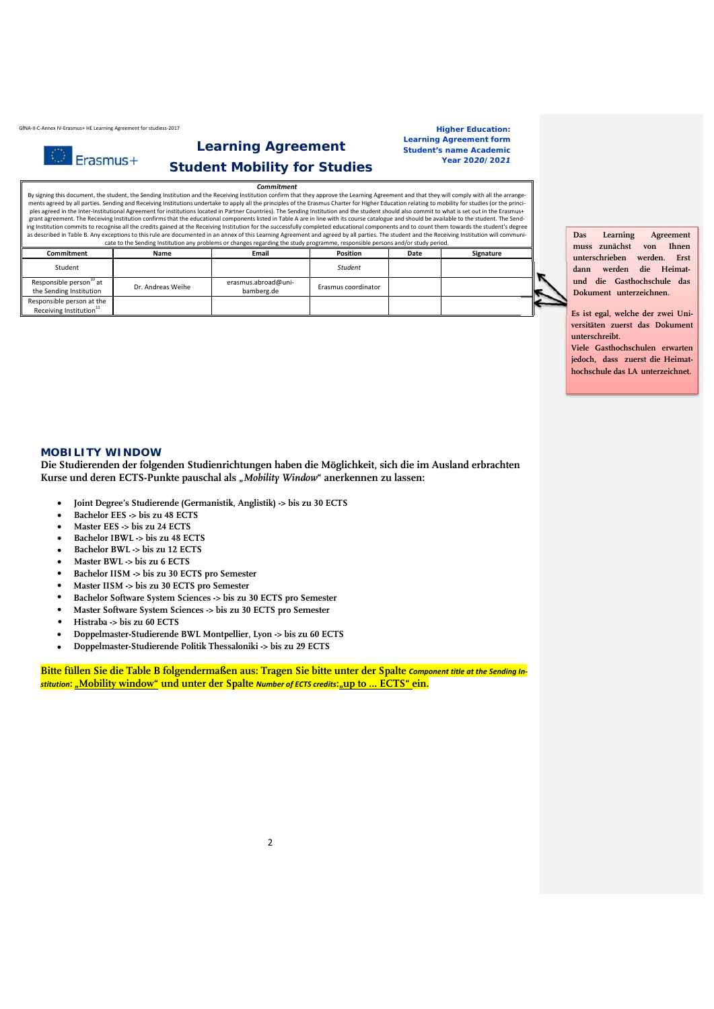GfNA・II-C-Annex IV-Erasmus+ HE Learning Agreement for studiess-2017 **https://www.industrianer.com/industrianer Education: Higher Education:** 

Erasmus+

## **Learning Agreement Student Mobility for Studies**

**Learning Agreement form** *Student's name Academic Year 2020/2021*

*Commitment* By signing this document, the student, the Sending Institution and the Receiving Institution confirm that they approve the Learning Agreement and that they will comply with all the arrange ments agreed by all parties. Sending and Receiving Institutions undertake to apply all the principles of the Erasmus Charter for Higher Education relating to mobility for studies (or the princi-<br>ples agreed in the Inter-In ing Institution commits to recognise all the credits gained at the Receiving Institution for the successfully completed educational components and to count them towards the student's degree<br>as described in Table B. Any exc

| .                                                                |                   |                                   |                     |      |           |  |  |  |  |  |  |
|------------------------------------------------------------------|-------------------|-----------------------------------|---------------------|------|-----------|--|--|--|--|--|--|
| <b>Commitment</b>                                                | Name              | Email                             | Position            | Date | Signature |  |  |  |  |  |  |
| Student                                                          |                   |                                   | Student             |      |           |  |  |  |  |  |  |
| Responsible person <sup>10</sup> at<br>the Sending Institution   | Dr. Andreas Weihe | erasmus.abroad@uni-<br>bamberg.de | Erasmus coordinator |      |           |  |  |  |  |  |  |
| Responsible person at the<br>Receiving Institution <sup>11</sup> |                   |                                   |                     |      |           |  |  |  |  |  |  |

**Das Learning Agreement muss zunächst von Ihnen unterschrieben werden. Erst dann werden die Heimatund die Gasthochschule das Dokument unterzeichnen.** 

**Es ist egal, welche der zwei Universitäten zuerst das Dokument unterschreibt.**

**Viele Gasthochschulen erwarten jedoch, dass zuerst die Heimathochschule das LA unterzeichnet.** 

## **MOBILITY WINDOW**

**Die Studierenden der folgenden Studienrichtungen haben die Möglichkeit, sich die im Ausland erbrachten**  Kurse und deren ECTS-Punkte pauschal als "Mobility Window" anerkennen zu lassen:

- **Joint Degree's Studierende (Germanistik, Anglistik) -> bis zu 30 ECTS**
- **Bachelor EES -> bis zu 48 ECTS**
- **Master EES -> bis zu 24 ECTS**
- **Bachelor IBWL -> bis zu 48 ECTS**
- $\bullet$ **Bachelor BWL -> bis zu 12 ECTS**
- $\bullet$ **Master BWL -> bis zu 6 ECTS**
- $\bullet$ **Bachelor IISM -> bis zu 30 ECTS pro Semester**
- $\bullet$ **Master IISM -> bis zu 30 ECTS pro Semester**
- $\bullet$ **Bachelor Software System Sciences -> bis zu 30 ECTS pro Semester**
- **Master Software System Sciences -> bis zu 30 ECTS pro Semester**
- **Histraba -> bis zu 60 ECTS**
- **Doppelmaster-Studierende BWL Montpellier, Lyon -> bis zu 60 ECTS** •
- **Doppelmaster-Studierende Politik Thessaloniki -> bis zu 29 ECTS** •

**Bitte füllen Sie die Table B folgendermaßen aus: Tragen Sie bitte unter der Spalte** *Component title at the Sending In‐ stitution***: "Mobility window" und unter der Spalte** *Number of ECTS credits***:"up to … ECTS" ein.**